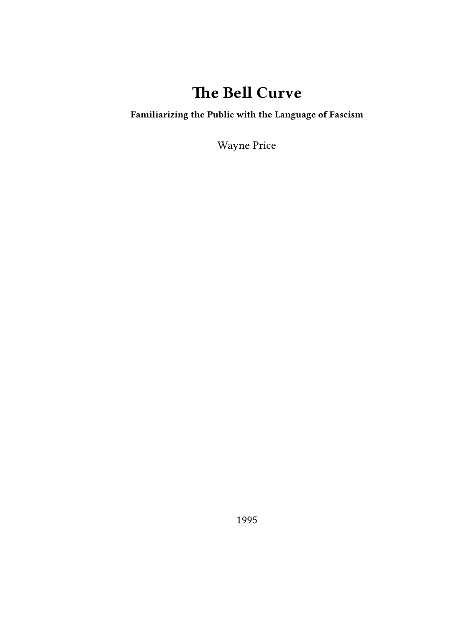## **The Bell Curve**

## **Familiarizing the Public with the Language of Fascism**

Wayne Price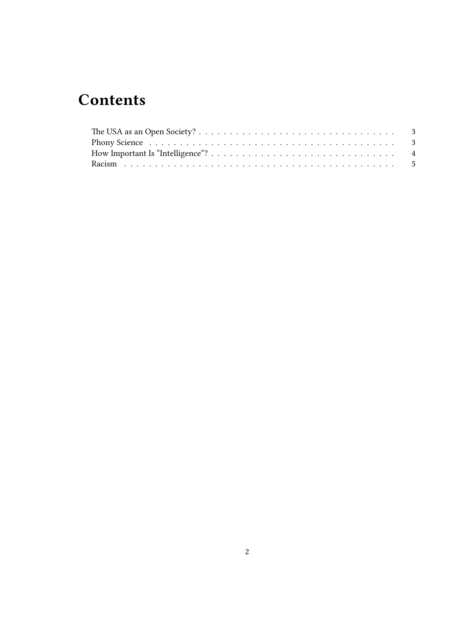# **Contents**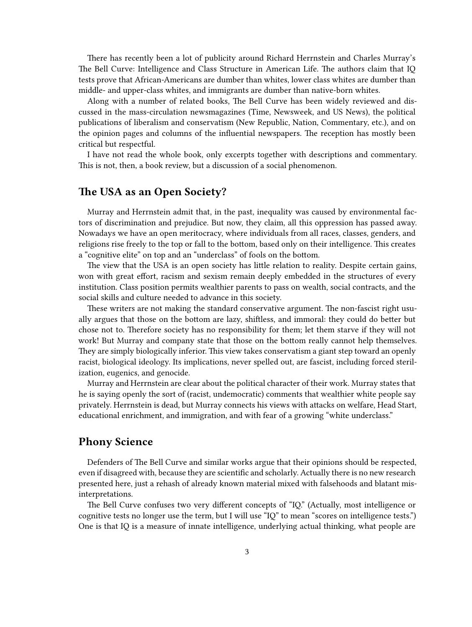There has recently been a lot of publicity around Richard Herrnstein and Charles Murray's The Bell Curve: Intelligence and Class Structure in American Life. The authors claim that IQ tests prove that African-Americans are dumber than whites, lower class whites are dumber than middle- and upper-class whites, and immigrants are dumber than native-born whites.

Along with a number of related books, The Bell Curve has been widely reviewed and discussed in the mass-circulation newsmagazines (Time, Newsweek, and US News), the political publications of liberalism and conservatism (New Republic, Nation, Commentary, etc.), and on the opinion pages and columns of the influential newspapers. The reception has mostly been critical but respectful.

I have not read the whole book, only excerpts together with descriptions and commentary. This is not, then, a book review, but a discussion of a social phenomenon.

#### <span id="page-2-0"></span>**The USA as an Open Society?**

Murray and Herrnstein admit that, in the past, inequality was caused by environmental factors of discrimination and prejudice. But now, they claim, all this oppression has passed away. Nowadays we have an open meritocracy, where individuals from all races, classes, genders, and religions rise freely to the top or fall to the bottom, based only on their intelligence. This creates a "cognitive elite" on top and an "underclass" of fools on the bottom.

The view that the USA is an open society has little relation to reality. Despite certain gains, won with great effort, racism and sexism remain deeply embedded in the structures of every institution. Class position permits wealthier parents to pass on wealth, social contracts, and the social skills and culture needed to advance in this society.

These writers are not making the standard conservative argument. The non-fascist right usually argues that those on the bottom are lazy, shiftless, and immoral: they could do better but chose not to. Therefore society has no responsibility for them; let them starve if they will not work! But Murray and company state that those on the bottom really cannot help themselves. They are simply biologically inferior. This view takes conservatism a giant step toward an openly racist, biological ideology. Its implications, never spelled out, are fascist, including forced sterilization, eugenics, and genocide.

Murray and Herrnstein are clear about the political character of their work. Murray states that he is saying openly the sort of (racist, undemocratic) comments that wealthier white people say privately. Herrnstein is dead, but Murray connects his views with attacks on welfare, Head Start, educational enrichment, and immigration, and with fear of a growing "white underclass."

#### <span id="page-2-1"></span>**Phony Science**

Defenders of The Bell Curve and similar works argue that their opinions should be respected, even if disagreed with, because they are scientific and scholarly. Actually there is no new research presented here, just a rehash of already known material mixed with falsehoods and blatant misinterpretations.

The Bell Curve confuses two very different concepts of "IQ." (Actually, most intelligence or cognitive tests no longer use the term, but I will use "IQ" to mean "scores on intelligence tests.") One is that IQ is a measure of innate intelligence, underlying actual thinking, what people are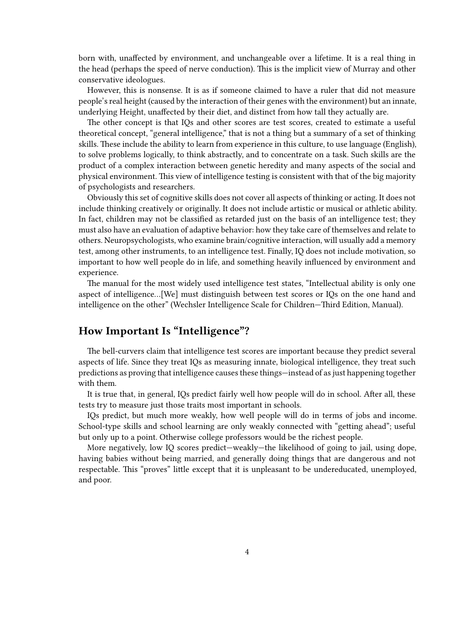born with, unaffected by environment, and unchangeable over a lifetime. It is a real thing in the head (perhaps the speed of nerve conduction). This is the implicit view of Murray and other conservative ideologues.

However, this is nonsense. It is as if someone claimed to have a ruler that did not measure people's real height (caused by the interaction of their genes with the environment) but an innate, underlying Height, unaffected by their diet, and distinct from how tall they actually are.

The other concept is that IQs and other scores are test scores, created to estimate a useful theoretical concept, "general intelligence," that is not a thing but a summary of a set of thinking skills. These include the ability to learn from experience in this culture, to use language (English), to solve problems logically, to think abstractly, and to concentrate on a task. Such skills are the product of a complex interaction between genetic heredity and many aspects of the social and physical environment. This view of intelligence testing is consistent with that of the big majority of psychologists and researchers.

Obviously this set of cognitive skills does not cover all aspects of thinking or acting. It does not include thinking creatively or originally. It does not include artistic or musical or athletic ability. In fact, children may not be classified as retarded just on the basis of an intelligence test; they must also have an evaluation of adaptive behavior: how they take care of themselves and relate to others. Neuropsychologists, who examine brain/cognitive interaction, will usually add a memory test, among other instruments, to an intelligence test. Finally, IQ does not include motivation, so important to how well people do in life, and something heavily influenced by environment and experience.

The manual for the most widely used intelligence test states, "Intellectual ability is only one aspect of intelligence…[We] must distinguish between test scores or IQs on the one hand and intelligence on the other" (Wechsler Intelligence Scale for Children—Third Edition, Manual).

#### <span id="page-3-0"></span>**How Important Is "Intelligence"?**

The bell-curvers claim that intelligence test scores are important because they predict several aspects of life. Since they treat IQs as measuring innate, biological intelligence, they treat such predictions as proving that intelligence causes these things—instead of as just happening together with them.

It is true that, in general, IQs predict fairly well how people will do in school. After all, these tests try to measure just those traits most important in schools.

IQs predict, but much more weakly, how well people will do in terms of jobs and income. School-type skills and school learning are only weakly connected with "getting ahead"; useful but only up to a point. Otherwise college professors would be the richest people.

More negatively, low IQ scores predict—weakly—the likelihood of going to jail, using dope, having babies without being married, and generally doing things that are dangerous and not respectable. This "proves" little except that it is unpleasant to be undereducated, unemployed, and poor.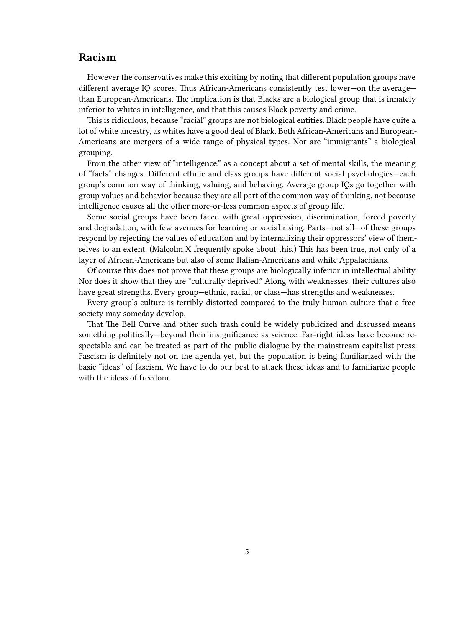### <span id="page-4-0"></span>**Racism**

However the conservatives make this exciting by noting that different population groups have different average IQ scores. Thus African-Americans consistently test lower—on the average than European-Americans. The implication is that Blacks are a biological group that is innately inferior to whites in intelligence, and that this causes Black poverty and crime.

This is ridiculous, because "racial" groups are not biological entities. Black people have quite a lot of white ancestry, as whites have a good deal of Black. Both African-Americans and European-Americans are mergers of a wide range of physical types. Nor are "immigrants" a biological grouping.

From the other view of "intelligence," as a concept about a set of mental skills, the meaning of "facts" changes. Different ethnic and class groups have different social psychologies—each group's common way of thinking, valuing, and behaving. Average group IQs go together with group values and behavior because they are all part of the common way of thinking, not because intelligence causes all the other more-or-less common aspects of group life.

Some social groups have been faced with great oppression, discrimination, forced poverty and degradation, with few avenues for learning or social rising. Parts—not all—of these groups respond by rejecting the values of education and by internalizing their oppressors' view of themselves to an extent. (Malcolm X frequently spoke about this.) This has been true, not only of a layer of African-Americans but also of some Italian-Americans and white Appalachians.

Of course this does not prove that these groups are biologically inferior in intellectual ability. Nor does it show that they are "culturally deprived." Along with weaknesses, their cultures also have great strengths. Every group—ethnic, racial, or class—has strengths and weaknesses.

Every group's culture is terribly distorted compared to the truly human culture that a free society may someday develop.

That The Bell Curve and other such trash could be widely publicized and discussed means something politically—beyond their insignificance as science. Far-right ideas have become respectable and can be treated as part of the public dialogue by the mainstream capitalist press. Fascism is definitely not on the agenda yet, but the population is being familiarized with the basic "ideas" of fascism. We have to do our best to attack these ideas and to familiarize people with the ideas of freedom.